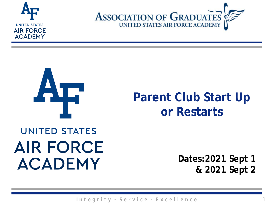





### **Parent Club Start Up or Restarts**

### **UNITED STATES AIR FORCE ACADEMY**

**Dates:2021 Sept 1 & 2021 Sept 2**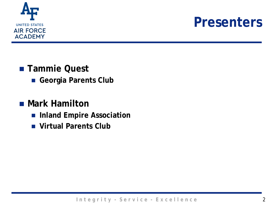

### **Presenters**

- **Tammie Quest** 
	- **Georgia Parents Club**

#### **Mark Hamilton**

- **Inland Empire Association**
- **Virtual Parents Club**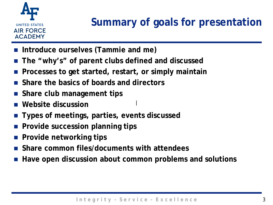

- **Introduce ourselves (Tammie and me)**
- **The "why's" of parent clubs defined and discussed**
- **Processes to get started, restart, or simply maintain**
- **Share the basics of boards and directors**
- **Share club management tips**
- **Website discussion**
- **Types of meetings, parties, events discussed**
- **Provide succession planning tips**
- **Provide networking tips**
- **Share common files/documents with attendees**
- **Have open discussion about common problems and solutions**

|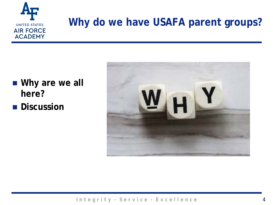

### **Why do we have USAFA parent groups?**

- Why are we all **here?**
- **Discussion**

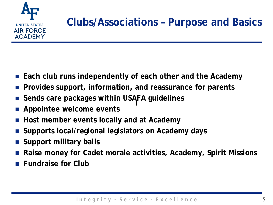

- **Each club runs independently of each other and the Academy**
- **Provides support, information, and reassurance for parents**
- **Sends care packages within USAFA guidelines** |
- **Appointee welcome events**
- **Host member events locally and at Academy**
- **Supports local/regional legislators on Academy days**
- **Support military balls**
- **Raise money for Cadet morale activities, Academy, Spirit Missions**
- **Fundraise for Club**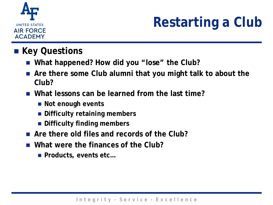

# **Restarting a Club**

#### **Key Questions**

- What happened? How did you "lose" the Club?
- Are there some Club alumni that you might talk to about the **Club?**
- **What lessons can be learned from the last time?**
	- Not enough events
	- $\blacksquare$  **Difficulty retaining members**
	- **Difficulty finding members**
- **Are there old files and records of the Club?**
- **What were the finances of the Club?**
	- Products, events etc...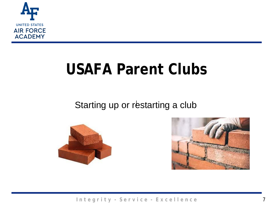

# **USAFA Parent Clubs**

#### Starting up or restarting a club



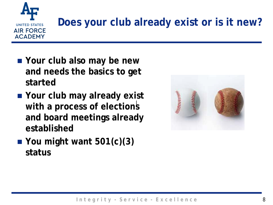

# **Does your club already exist or is it new?**

- Your club also may be new **and needs the basics to get started**
- **Your club may already exist**  with a process of elections **and board meetings already established**
- **You might want 501(c)(3) status**

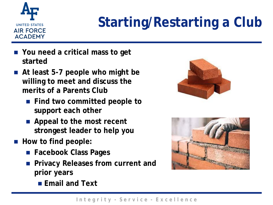

# **Starting/Restarting a Club**

- **You need a critical mass to get started**
- **At least 5-7 people who might be willing to meet and discuss the merits of a Parents Club**
	- **Find two committed people to support each other**
	- **Appeal to the most recent strongest leader to help you**
- How to find people:
	- **Facebook Class Pages**
	- **Privacy Releases from current and prior years**
		- **Email and Text**



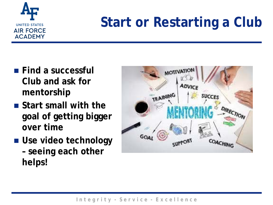

### **Start or Restarting a Club**

- **Find a successful Club and ask for mentorship**
- **Start small with the goal of getting bigger over time**
- **Use video technology – seeing each other helps!**

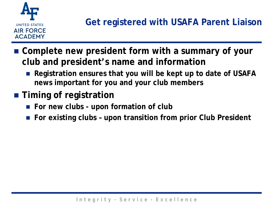

- **Complete new president form with a summary of your club and president's name and information**
	- Registration ensures that you will be kept up to date of USAFA **news important for you and your club members**
- **Timing of registration** 
	- For new clubs upon formation of club
	- For existing clubs upon transition from prior Club President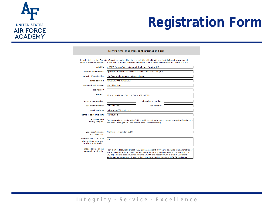

### **Registration Form**

| In order to keep the Parents' Clubs files and mailing list current, it is critical that I receive this form from each club<br>when a NEW PRESIDENT is elected. The new president should fill out the information below and return it to me. |                                                                                                                                                                                                                                                                                                                                                        |                     |  |  |  |  |  |  |
|---------------------------------------------------------------------------------------------------------------------------------------------------------------------------------------------------------------------------------------------|--------------------------------------------------------------------------------------------------------------------------------------------------------------------------------------------------------------------------------------------------------------------------------------------------------------------------------------------------------|---------------------|--|--|--|--|--|--|
| club title                                                                                                                                                                                                                                  | USAFA Parents' Association of the Inland Empire, CA                                                                                                                                                                                                                                                                                                    |                     |  |  |  |  |  |  |
| number of members                                                                                                                                                                                                                           | Approximately 90 - 55 families current - 2 in prep - 34 grad                                                                                                                                                                                                                                                                                           |                     |  |  |  |  |  |  |
| website (if applicable)                                                                                                                                                                                                                     | http://www.inlandempire.afaparents.org/                                                                                                                                                                                                                                                                                                                |                     |  |  |  |  |  |  |
| dates covered                                                                                                                                                                                                                               | 10/28/2020 to 10/28/2021                                                                                                                                                                                                                                                                                                                               |                     |  |  |  |  |  |  |
| new president's name                                                                                                                                                                                                                        | <b>Mark Hamilton</b>                                                                                                                                                                                                                                                                                                                                   |                     |  |  |  |  |  |  |
| nickname?                                                                                                                                                                                                                                   |                                                                                                                                                                                                                                                                                                                                                        |                     |  |  |  |  |  |  |
| address                                                                                                                                                                                                                                     | 10 Marchin Drive, Coto de Caza, CA 92679                                                                                                                                                                                                                                                                                                               |                     |  |  |  |  |  |  |
| home phone number                                                                                                                                                                                                                           |                                                                                                                                                                                                                                                                                                                                                        | office phone number |  |  |  |  |  |  |
| cell phone number                                                                                                                                                                                                                           | 949-705-7387                                                                                                                                                                                                                                                                                                                                           | fax number          |  |  |  |  |  |  |
| email address                                                                                                                                                                                                                               | mthamilton7@gmail.com                                                                                                                                                                                                                                                                                                                                  |                     |  |  |  |  |  |  |
| name of past president                                                                                                                                                                                                                      | <b>Ray Nunez</b>                                                                                                                                                                                                                                                                                                                                       |                     |  |  |  |  |  |  |
| activities held<br>during the year                                                                                                                                                                                                          | Packing parties - assist with California Dreamin' night - new parent orientation/guidance -<br>send off - recognition - academy nights (congressional)                                                                                                                                                                                                 |                     |  |  |  |  |  |  |
| your cadet's name<br>and class year                                                                                                                                                                                                         | Matthew R. Hamilton 2023                                                                                                                                                                                                                                                                                                                               |                     |  |  |  |  |  |  |
| are there any USAFA or<br>other military academy<br>grads in your family?                                                                                                                                                                   | No                                                                                                                                                                                                                                                                                                                                                     |                     |  |  |  |  |  |  |
| please tell me about<br>you and your family:                                                                                                                                                                                                | I am a retired Newport Beach (CA) police sergeant (30 years) and also was an instructor<br>at the police academy. I am married to my wife Patty and we have 4 children (31, 28,<br>25, 21). I have been involved with the OCPA and recently with the USAFA Parent<br>Ambassador's program. I want to help and be a part of the great USAFA traditions! |                     |  |  |  |  |  |  |

New Parents' Club President Information Form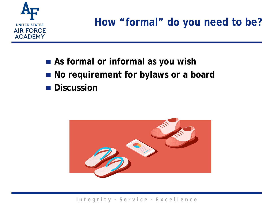

**How "formal" do you need to be?**

- As formal or informal as you wish ■ No requirement for bylaws or a board
- **Discussion**

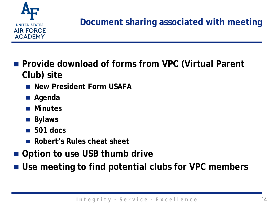

#### **Document sharing associated with meeting**

- Provide download of forms from VPC (Virtual Parent **Club) site**
	- **New President Form USAFA**
	- **Agenda**
	- **Minutes**
	- **Bylaws**
	- **501 docs**
	- Robert's Rules cheat sheet
- Option to use USB thumb drive
- **Use meeting to find potential clubs for VPC members**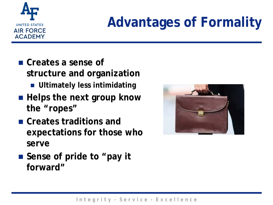

# **Advantages of Formality**

- **Creates a sense of structure and organization**
	- **Ultimately less intimidating**
- Helps the next group know **the "ropes"**
- **Creates traditions and expectations for those who serve**



■ Sense of pride to "pay it **forward"**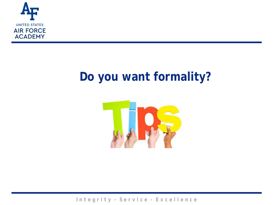

### **Do you want formality?**

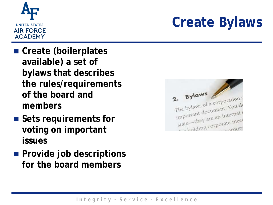

# **Create Bylaws**

- **Create (boilerplates available) a set of bylaws that describes the rules/requirements of the board and members**
- Sets requirements for **voting on important issues**
- **Provide job descriptions for the board members**

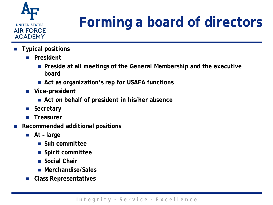

# **Forming a board of directors**

- **Typical positions**
	- **President**
		- **Preside at all meetings of the General Membership and the executive board**
		- Act as organization's rep for USAFA functions
	- **Vice-president**
		- **Act on behalf of president in his/her absence**
	- Secretary
	- **Treasurer**
- **Recommended additional positions**
	- **At – large**
		- **Sub committee**
		- **Spirit committee**
		- **Social Chair**
		- **Merchandise/Sales**
	- **Class Representatives**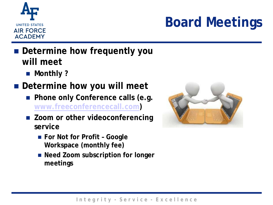

# **Board Meetings**

- **E** Determine how frequently you **will meet**
	- Monthly ?
- **Determine how you will meet**
	- **Phone only Conference calls (e.g. [www.freeconferencecall.com\)](http://www.freeconferencecall.com/)**
	- Zoom or other videoconferencing **service**
		- For Not for Profit Google **Workspace (monthly fee)**
		- Need Zoom subscription for longer **meetings**

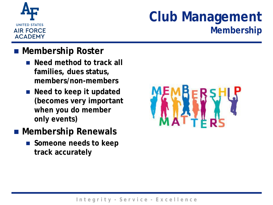

### **Club Management Membership**

#### **Membership Roster**

- Need method to track all **families, dues status, members/non-members**
- Need to keep it updated **(becomes very important when you do member only events)**
- **Membership Renewals**
	- **Someone needs to keep track accurately**

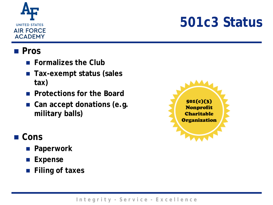

### **501c3 Status**

#### **Pros**

- **Formalizes the Club**
- Tax-exempt status (sales **tax)**
- **Protections for the Board**
- Can accept donations (e.g. **military balls)**

#### ■ Cons

- **Paperwork**
- **Expense**
- **Filing of taxes**

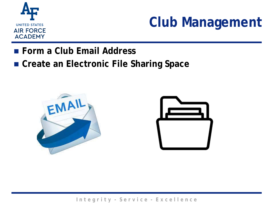

### **Club Management**

- **Form a Club Email Address**
- **Create an Electronic File Sharing Space**



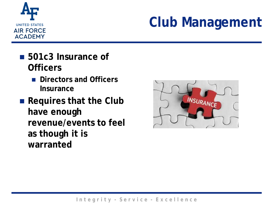

### **Club Management**

- **501c3 Insurance of Officers**
	- **Directors and Officers Insurance**
- Requires that the Club **have enough revenue/events to feel as though it is warranted**

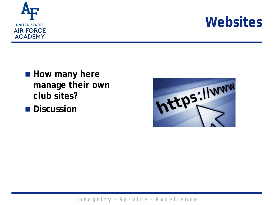

### **Websites**

- How many here **manage their own club sites?**
- **Discussion**

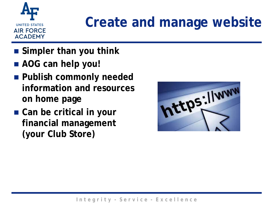

### **Create and manage website**

- **Simpler than you think**
- **AOG can help you!**
- **Publish commonly needed information and resources on home page**
- Can be critical in your **financial management (your Club Store)**

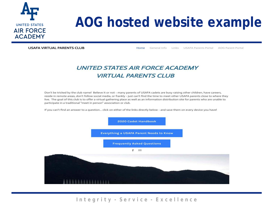

### **AOG hosted website example**

**USAFA VIRTUAL PARENTS CLUB** 

Links USAFA Parents Portal AOG Parent Portal Home General Info

#### **UNITED STATES AIR FORCE ACADEMY VIRTUAL PARENTS CLUB**

Don't be tricked by the club name! Believe it or not - many parents of USAFA cadets are busy raising other children, have careers, reside in remote areas, don't follow social media, or frankly - just can't find the time to meet other USAFA parents close to where they live. The goal of this club is to offer a virtual gathering place as well as an information distribution site for parents who are unable to participate in a traditional "meet in person" association or club.

If you can't find an answer to a question... click on either of the links directly below - and save them on every device you have!

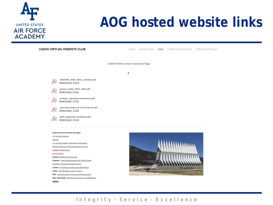

Facebook https://www.facebook.com/USAFA.Official Facebook - Joint Services Academy Page YouTube http://www.youtube.com/USAFAOfficial

Twitter https://twitter.com/AF\_Academy Flickr http://www.flickr.com/groups/alrforceacademy Flickr Cadet Media: www.flickr.com/photos/131708601@No3/

Athletics

### **AOG hosted website links**

ll willfitt

| <b>USAFA VIRTUAL PARENTS CLUB</b>                                                  | Home                               | General Info | Links | <b>USAFA Parents Portal</b> | AOG Parent Portal |
|------------------------------------------------------------------------------------|------------------------------------|--------------|-------|-----------------------------|-------------------|
|                                                                                    | USAFA Parent Liaison Facebook Page |              |       |                             |                   |
|                                                                                    | f                                  |              |       |                             |                   |
| USAFAPS_2020_2021_calendar.pdf<br>⋏<br>Download File                               |                                    |              |       |                             |                   |
| parent_guide_2020_2021.pdf<br>$\blacktriangle$<br>Download File                    |                                    |              |       |                             |                   |
| usafaps_reporting-instructions.pdf<br>$\blacktriangle$<br>Download File            |                                    |              |       |                             |                   |
| important-dates-as-of-23-feb-21.pdf<br>$\blacktriangle$<br>Download File           |                                    |              |       |                             |                   |
| 2025-appointee-handbook.pdf<br>s<br>Download File                                  |                                    |              |       |                             |                   |
| <b>Important Links for Parents and Cadets:</b>                                     |                                    |              |       |                             |                   |
| U.S. Air Force Academy                                                             |                                    |              |       |                             |                   |
| <b>WebGuy</b>                                                                      |                                    |              |       |                             |                   |
| U.S. Air Force Academy Association of Graduates                                    |                                    |              |       |                             |                   |
| Official Home Page of the United States Air Force<br><b>Academy Parents Portal</b> |                                    |              |       |                             |                   |
| <b>SOCIAL MEDIA</b>                                                                |                                    |              |       |                             |                   |
| Facebook WebGuy Facebook Page                                                      |                                    |              |       |                             |                   |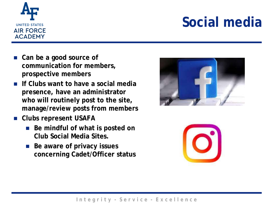

### **Social media**

- Can be a good source of **communication for members, prospective members**
- **If Clubs want to have a social media presence, have an administrator who will routinely post to the site, manage/review posts from members**
- **Clubs represent USAFA**
	- Be mindful of what is posted on **Club Social Media Sites.**
	- Be aware of privacy issues **concerning Cadet/Officer status**



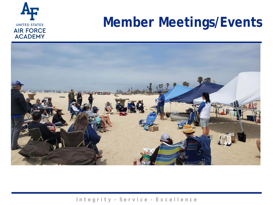

### **Member Meetings/Events**

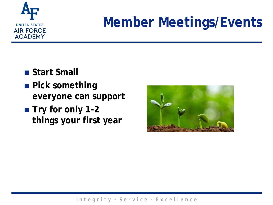

### **Member Meetings/Events**

- Start Small
- **Pick something everyone can support**
- Try for only 1-2 **things your first year**

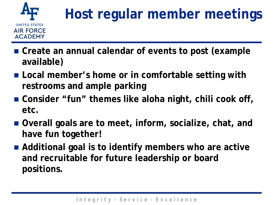

## **Host regular member meetings**

- Create an annual calendar of events to post (example **available)**
- Local member's home or in comfortable setting with **restrooms and ample parking**
- Consider "fun" themes like aloha night, chili cook off, **etc.**
- **Overall goals are to meet, inform, socialize, chat, and have fun together!**
- Additional goal is to identify members who are active **and recruitable for future leadership or board positions.**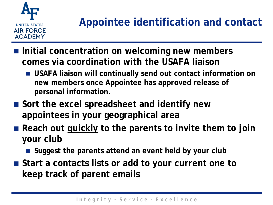

- Initial concentration on welcoming new members **comes via coordination with the USAFA liaison**
	- **USAFA liaison will continually send out contact information on new members once Appointee has approved release of personal information.**
- Sort the excel spreadsheet and identify new **appointees in your geographical area**
- Reach out quickly to the parents to invite them to join **your club**
	- **Suggest the parents attend an event held by your club**
- Start a contacts lists or add to your current one to **keep track of parent emails**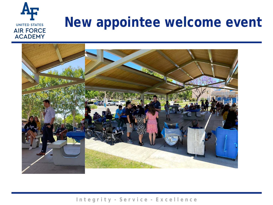#### **New appointee welcome eventUNITED STATES AIR FORCE ACADEMY**

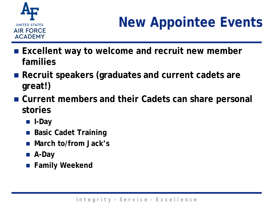

# **New Appointee Events**

- Excellent way to welcome and recruit new member **families**
- Recruit speakers (graduates and current cadets are **great!)**
- **Current members and their Cadets can share personal stories**
	- **I-Day**
	- Basic Cadet Training
	- **March to/from Jack's**
	- **A-Day**
	- **Family Weekend**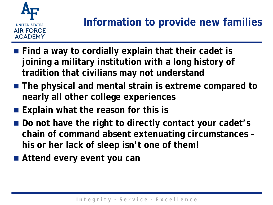

- Find a way to cordially explain that their cadet is **joining a military institution with a long history of tradition that civilians may not understand**
- **The physical and mental strain is extreme compared to nearly all other college experiences**
- **Explain what the reason for this is**
- Do not have the right to directly contact your cadet's **chain of command absent extenuating circumstances – his or her lack of sleep isn't one of them!**
- **Attend every event you can**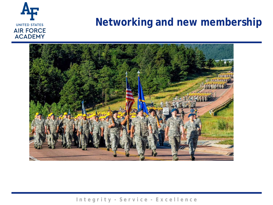

#### **Networking and new membership**

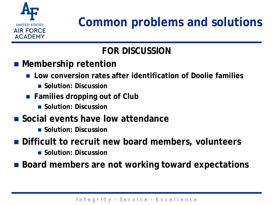

### **Common problems and solutions**

#### **FOR DISCUSSION**

- Membership retention
	- **Low conversion rates after identification of Doolie families**
		- **Solution: Discussion**
	- **Families dropping out of Club** 
		- **Solution: Discussion**
- Social events have low attendance
	- **Solution: Discussion**
- **Difficult to recruit new board members, volunteers**
	- **Solution: Discussion**
- Board members are not working toward expectations